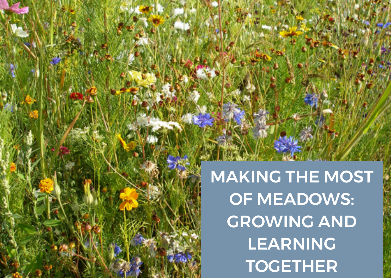MAKING THE MOST OF MEADOWS: GROWING AND LEARNING **TOGETHER**